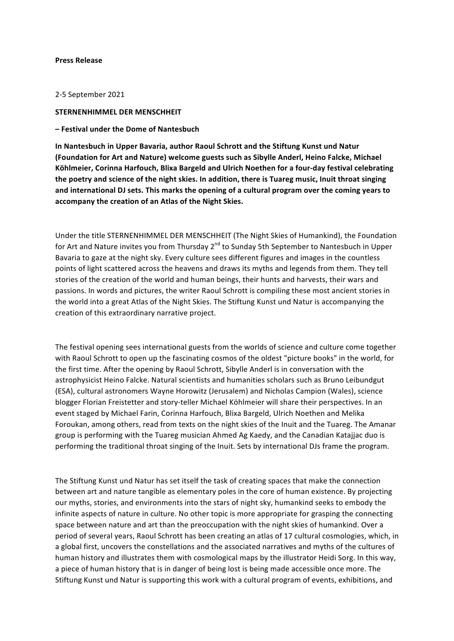### **Press Release**

#### 2-5 September 2021

# **STERNENHIMMEL DER MENSCHHEIT**

#### **– Festival under the Dome of Nantesbuch**

In Nantesbuch in Upper Bavaria, author Raoul Schrott and the Stiftung Kunst und Natur **(Foundation for Art and Nature) welcome guests such as Sibylle Anderl, Heino Falcke, Michael**  Köhlmeier, Corinna Harfouch, Blixa Bargeld and Ulrich Noethen for a four-day festival celebrating the poetry and science of the night skies. In addition, there is Tuareg music, Inuit throat singing and international DJ sets. This marks the opening of a cultural program over the coming years to accompany the creation of an Atlas of the Night Skies.

Under the title STERNENHIMMEL DER MENSCHHEIT (The Night Skies of Humankind), the Foundation for Art and Nature invites you from Thursday  $2^{nd}$  to Sunday 5th September to Nantesbuch in Upper Bavaria to gaze at the night sky. Every culture sees different figures and images in the countless points of light scattered across the heavens and draws its myths and legends from them. They tell stories of the creation of the world and human beings, their hunts and harvests, their wars and passions. In words and pictures, the writer Raoul Schrott is compiling these most ancient stories in the world into a great Atlas of the Night Skies. The Stiftung Kunst und Natur is accompanying the creation of this extraordinary narrative project.

The festival opening sees international guests from the worlds of science and culture come together with Raoul Schrott to open up the fascinating cosmos of the oldest "picture books" in the world, for the first time. After the opening by Raoul Schrott, Sibylle Anderl is in conversation with the astrophysicist Heino Falcke. Natural scientists and humanities scholars such as Bruno Leibundgut (ESA), cultural astronomers Wayne Horowitz (Jerusalem) and Nicholas Campion (Wales), science blogger Florian Freistetter and story-teller Michael Köhlmeier will share their perspectives. In an event staged by Michael Farin, Corinna Harfouch, Blixa Bargeld, Ulrich Noethen and Melika Foroukan, among others, read from texts on the night skies of the Inuit and the Tuareg. The Amanar group is performing with the Tuareg musician Ahmed Ag Kaedy, and the Canadian Katajjac duo is performing the traditional throat singing of the Inuit. Sets by international DJs frame the program.

The Stiftung Kunst und Natur has set itself the task of creating spaces that make the connection between art and nature tangible as elementary poles in the core of human existence. By projecting our myths, stories, and environments into the stars of night sky, humankind seeks to embody the infinite aspects of nature in culture. No other topic is more appropriate for grasping the connecting space between nature and art than the preoccupation with the night skies of humankind. Over a period of several years, Raoul Schrott has been creating an atlas of 17 cultural cosmologies, which, in a global first, uncovers the constellations and the associated narratives and myths of the cultures of human history and illustrates them with cosmological maps by the illustrator Heidi Sorg. In this way, a piece of human history that is in danger of being lost is being made accessible once more. The Stiftung Kunst und Natur is supporting this work with a cultural program of events, exhibitions, and